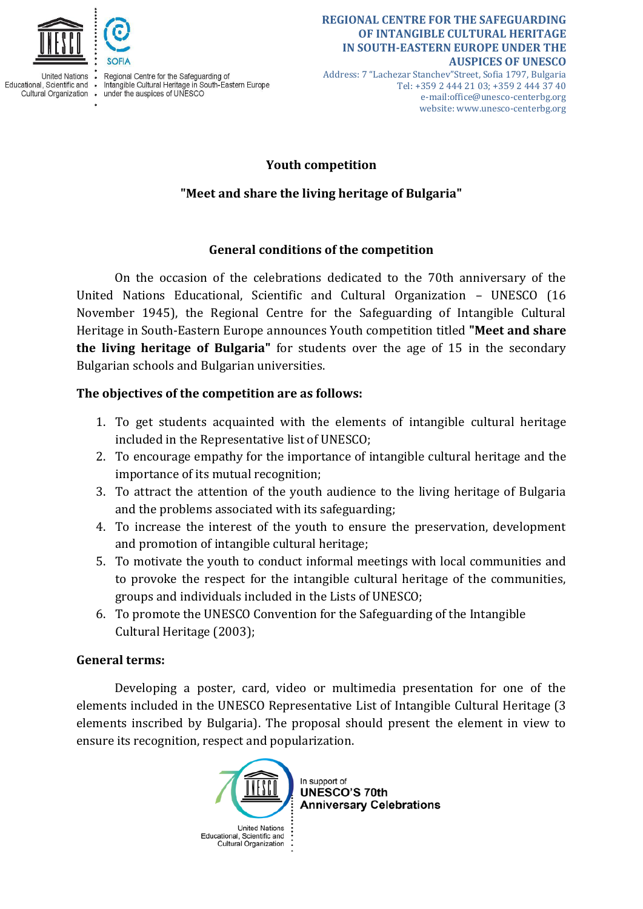

**United Nations** Educational, Scientific and . Cultural Organization .

Regional Centre for the Safeguarding of Intangible Cultural Heritage in South-Eastern Europe under the auspices of UNESCO

#### **REGIONAL CENTRE FOR THE SAFEGUARDING OF INTANGIBLE CULTURAL HERITAGE IN SOUTH-EASTERN EUROPE UNDER THE AUSPICES OF UNESCO**

Address: 7 "Lachezar Stanchev"Street, Sofia 1797, Bulgaria Tel: +359 2 444 21 03; +359 2 444 37 40 e-mail:office@unesco-centerbg.org website: www.unesco-centerbg.org

## **Youth competition**

# **"Meet and share the living heritage of Bulgaria"**

## **General conditions of the competition**

On the occasion of the celebrations dedicated to the 70th anniversary of the United Nations Educational, Scientific and Cultural Organization – UNESCO (16 November 1945), the Regional Centre for the Safeguarding of Intangible Cultural Heritage in South-Eastern Europe announces Youth competition titled **"Meet and share the living heritage of Bulgaria"** for students over the age of 15 in the secondary Bulgarian schools and Bulgarian universities.

# **The objectives of the competition are as follows:**

- 1. To get students acquainted with the elements of intangible cultural heritage included in the Representative list of UNESCO;
- 2. To encourage empathy for the importance of intangible cultural heritage and the importance of its mutual recognition;
- 3. To attract the attention of the youth audience to the living heritage of Bulgaria and the problems associated with its safeguarding;
- 4. To increase the interest of the youth to ensure the preservation, development and promotion of intangible cultural heritage;
- 5. To motivate the youth to conduct informal meetings with local communities and to provoke the respect for the intangible cultural heritage of the communities, groups and individuals included in the Lists of UNESCO;
- 6. To promote the UNESCO Convention for the Safeguarding of the Intangible Cultural Heritage (2003);

### **General terms:**

Developing a poster, card, video or multimedia presentation for one of the elements included in the UNESCO Representative List of Intangible Cultural Heritage (3 elements inscribed by Bulgaria). The proposal should present the element in view to ensure its recognition, respect and popularization.

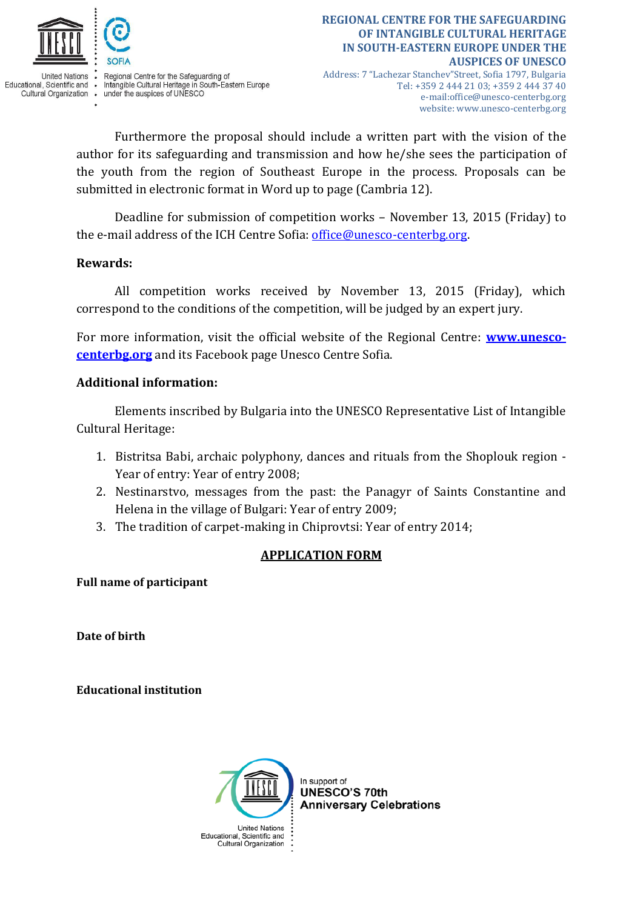

**United Nations** Educational, Scientific and . Cultural Organization .

Regional Centre for the Safeguarding of Intangible Cultural Heritage in South-Eastern Europe under the auspices of UNESCO

Address: 7 "Lachezar Stanchev"Street, Sofia 1797, Bulgaria Tel: +359 2 444 21 03; +359 2 444 37 40 e-mail:office@unesco-centerbg.org website: www.unesco-centerbg.org

Furthermore the proposal should include a written part with the vision of the author for its safeguarding and transmission and how he/she sees the participation of the youth from the region of Southeast Europe in the process. Proposals can be submitted in electronic format in Word up to page (Cambria 12).

Deadline for submission of competition works – November 13, 2015 (Friday) to the e-mail address of the ICH Centre Sofia: [office@unesco-centerbg.org.](mailto:office@unesco-centerbg.org)

## **Rewards:**

All competition works received by November 13, 2015 (Friday), which correspond to the conditions of the competition, will be judged by an expert jury.

For more information, visit the official website of the Regional Centre: **[www.unesco](http://www.unesco-centerbg.org/)[centerbg.org](http://www.unesco-centerbg.org/)** and its Facebook page Unesco Centre Sofia.

# **Additional information:**

Elements inscribed by Bulgaria into the UNESCO Representative List of Intangible Cultural Heritage:

- 1. Bistritsa Babi, archaic polyphony, dances and rituals from the Shoplouk region Year of entry: Year of entry 2008;
- 2. Nestinarstvo, messages from the past: the Panagyr of Saints Constantine and Helena in the village of Bulgari: Year of entry 2009;
- 3. The tradition of carpet-making in Chiprovtsi: Year of entry 2014;

# **APPLICATION FORM**

**Full name of participant**

**Date of birth**

**Educational institution**